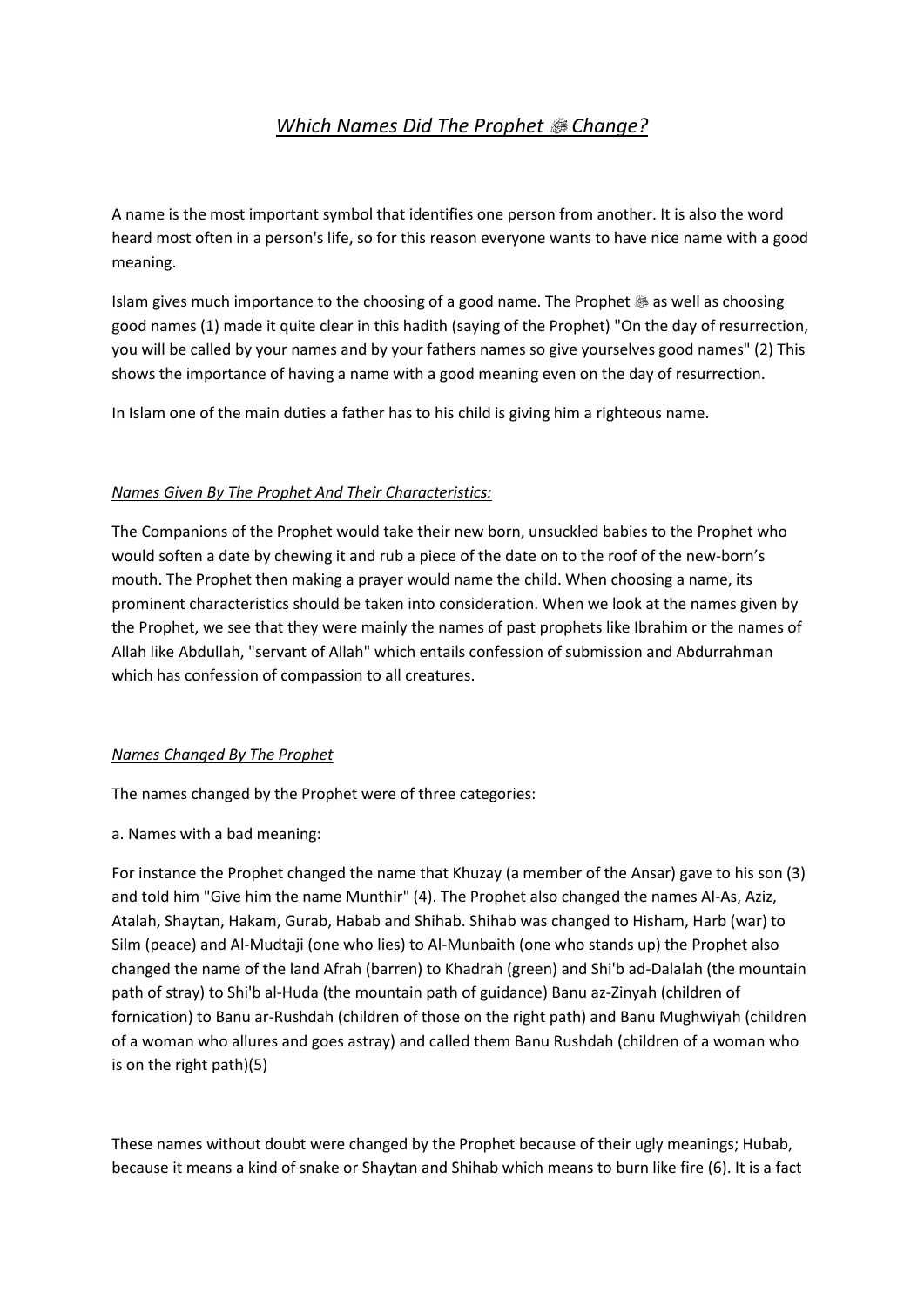# *Which Names Did The Prophet Change?*

A name is the most important symbol that identifies one person from another. It is also the word heard most often in a person's life, so for this reason everyone wants to have nice name with a good meaning.

Islam gives much importance to the choosing of a good name. The Prophet  $\ddot{\text{\sf{\tiny @}}}$  as well as choosing good names (1) made it quite clear in this hadith (saying of the Prophet) "On the day of resurrection, you will be called by your names and by your fathers names so give yourselves good names" (2) This shows the importance of having a name with a good meaning even on the day of resurrection.

In Islam one of the main duties a father has to his child is giving him a righteous name.

#### *Names Given By The Prophet And Their Characteristics:*

The Companions of the Prophet would take their new born, unsuckled babies to the Prophet who would soften a date by chewing it and rub a piece of the date on to the roof of the new-born's mouth. The Prophet then making a prayer would name the child. When choosing a name, its prominent characteristics should be taken into consideration. When we look at the names given by the Prophet, we see that they were mainly the names of past prophets like Ibrahim or the names of Allah like Abdullah, "servant of Allah" which entails confession of submission and Abdurrahman which has confession of compassion to all creatures.

#### *Names Changed By The Prophet*

The names changed by the Prophet were of three categories:

a. Names with a bad meaning:

For instance the Prophet changed the name that Khuzay (a member of the Ansar) gave to his son (3) and told him "Give him the name Munthir" (4). The Prophet also changed the names Al-As, Aziz, Atalah, Shaytan, Hakam, Gurab, Habab and Shihab. Shihab was changed to Hisham, Harb (war) to Silm (peace) and Al-Mudtaji (one who lies) to Al-Munbaith (one who stands up) the Prophet also changed the name of the land Afrah (barren) to Khadrah (green) and Shi'b ad-Dalalah (the mountain path of stray) to Shi'b al-Huda (the mountain path of guidance) Banu az-Zinyah (children of fornication) to Banu ar-Rushdah (children of those on the right path) and Banu Mughwiyah (children of a woman who allures and goes astray) and called them Banu Rushdah (children of a woman who is on the right path)(5)

These names without doubt were changed by the Prophet because of their ugly meanings; Hubab, because it means a kind of snake or Shaytan and Shihab which means to burn like fire (6). It is a fact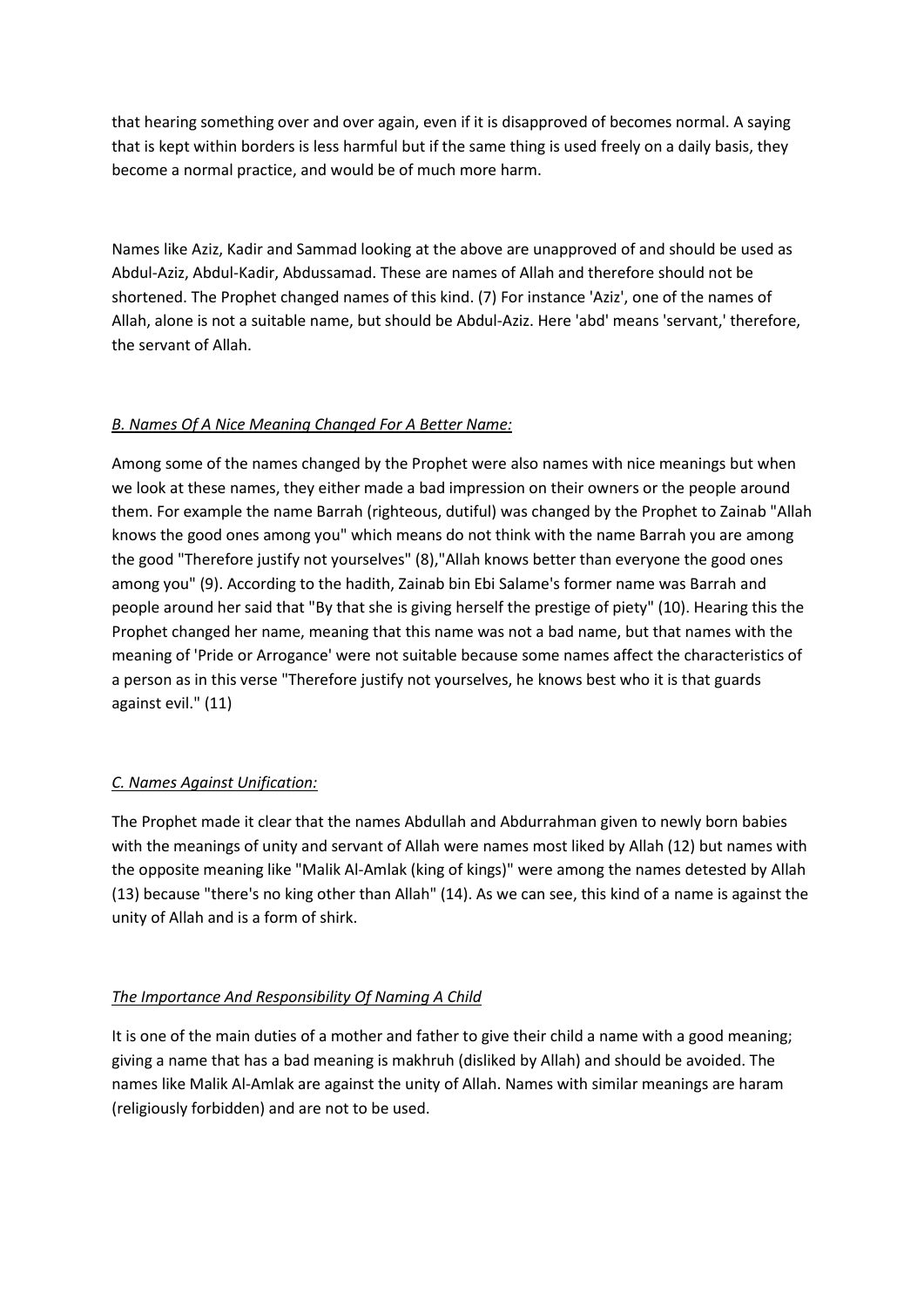that hearing something over and over again, even if it is disapproved of becomes normal. A saying that is kept within borders is less harmful but if the same thing is used freely on a daily basis, they become a normal practice, and would be of much more harm.

Names like Aziz, Kadir and Sammad looking at the above are unapproved of and should be used as Abdul-Aziz, Abdul-Kadir, Abdussamad. These are names of Allah and therefore should not be shortened. The Prophet changed names of this kind. (7) For instance 'Aziz', one of the names of Allah, alone is not a suitable name, but should be Abdul-Aziz. Here 'abd' means 'servant,' therefore, the servant of Allah.

### *B. Names Of A Nice Meaning Changed For A Better Name:*

Among some of the names changed by the Prophet were also names with nice meanings but when we look at these names, they either made a bad impression on their owners or the people around them. For example the name Barrah (righteous, dutiful) was changed by the Prophet to Zainab "Allah knows the good ones among you" which means do not think with the name Barrah you are among the good "Therefore justify not yourselves" (8),"Allah knows better than everyone the good ones among you" (9). According to the hadith, Zainab bin Ebi Salame's former name was Barrah and people around her said that "By that she is giving herself the prestige of piety" (10). Hearing this the Prophet changed her name, meaning that this name was not a bad name, but that names with the meaning of 'Pride or Arrogance' were not suitable because some names affect the characteristics of a person as in this verse "Therefore justify not yourselves, he knows best who it is that guards against evil." (11)

### *C. Names Against Unification:*

The Prophet made it clear that the names Abdullah and Abdurrahman given to newly born babies with the meanings of unity and servant of Allah were names most liked by Allah (12) but names with the opposite meaning like "Malik Al-Amlak (king of kings)" were among the names detested by Allah (13) because "there's no king other than Allah" (14). As we can see, this kind of a name is against the unity of Allah and is a form of shirk.

## *The Importance And Responsibility Of Naming A Child*

It is one of the main duties of a mother and father to give their child a name with a good meaning; giving a name that has a bad meaning is makhruh (disliked by Allah) and should be avoided. The names like Malik Al-Amlak are against the unity of Allah. Names with similar meanings are haram (religiously forbidden) and are not to be used.